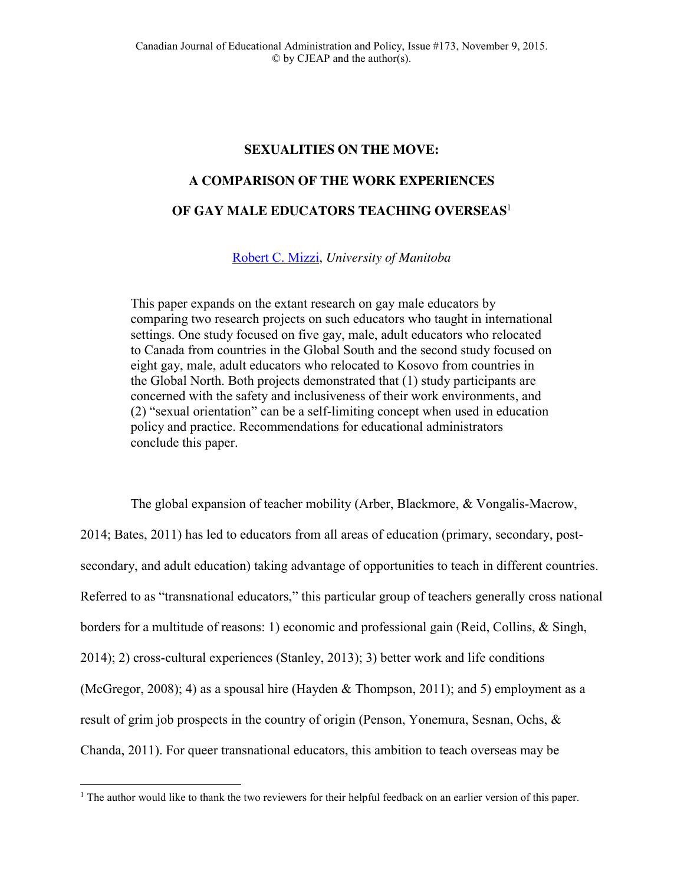# **SEXUALITIES ON THE MOVE:**

# **A COMPARISON OF THE WORK EXPERIENCES**

# **OF GAY MALE EDUCATORS TEACHING OVERSEAS**<sup>1</sup>

[Robert C. Mizzi,](mailto:robert.mizzi@umanitoba.ca) *University of Manitoba*

This paper expands on the extant research on gay male educators by comparing two research projects on such educators who taught in international settings. One study focused on five gay, male, adult educators who relocated to Canada from countries in the Global South and the second study focused on eight gay, male, adult educators who relocated to Kosovo from countries in the Global North. Both projects demonstrated that (1) study participants are concerned with the safety and inclusiveness of their work environments, and (2) "sexual orientation" can be a self-limiting concept when used in education policy and practice. Recommendations for educational administrators conclude this paper.

The global expansion of teacher mobility (Arber, Blackmore, & Vongalis-Macrow, 2014; Bates, 2011) has led to educators from all areas of education (primary, secondary, postsecondary, and adult education) taking advantage of opportunities to teach in different countries. Referred to as "transnational educators," this particular group of teachers generally cross national borders for a multitude of reasons: 1) economic and professional gain (Reid, Collins, & Singh, 2014); 2) cross-cultural experiences (Stanley, 2013); 3) better work and life conditions (McGregor, 2008); 4) as a spousal hire (Hayden & Thompson, 2011); and 5) employment as a result of grim job prospects in the country of origin (Penson, Yonemura, Sesnan, Ochs, & Chanda, 2011). For queer transnational educators, this ambition to teach overseas may be

 $\overline{\phantom{a}}$ 

<sup>&</sup>lt;sup>1</sup> The author would like to thank the two reviewers for their helpful feedback on an earlier version of this paper.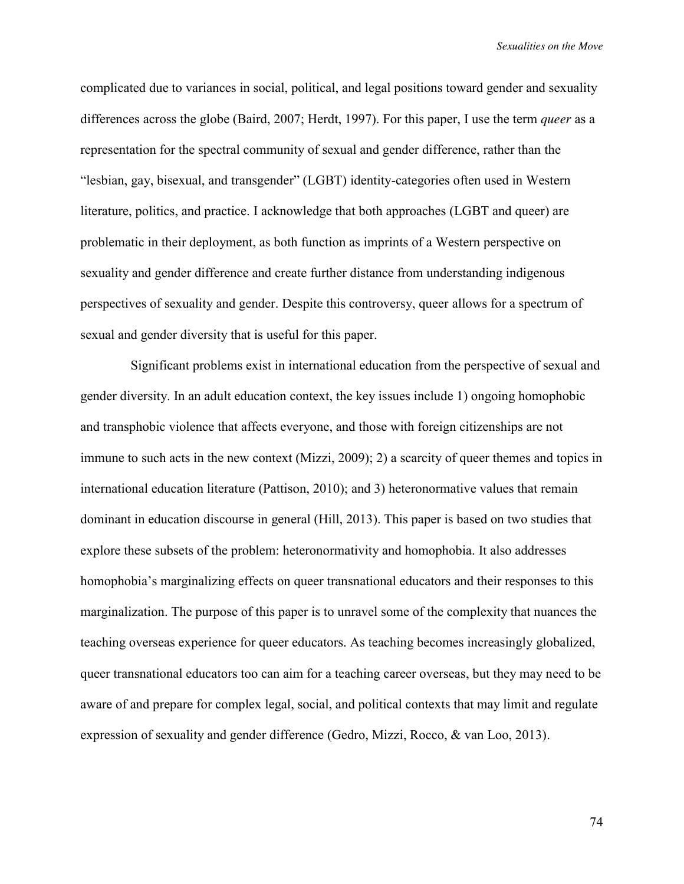complicated due to variances in social, political, and legal positions toward gender and sexuality differences across the globe (Baird, 2007; Herdt, 1997). For this paper, I use the term *queer* as a representation for the spectral community of sexual and gender difference, rather than the "lesbian, gay, bisexual, and transgender" (LGBT) identity-categories often used in Western literature, politics, and practice. I acknowledge that both approaches (LGBT and queer) are problematic in their deployment, as both function as imprints of a Western perspective on sexuality and gender difference and create further distance from understanding indigenous perspectives of sexuality and gender. Despite this controversy, queer allows for a spectrum of sexual and gender diversity that is useful for this paper.

Significant problems exist in international education from the perspective of sexual and gender diversity. In an adult education context, the key issues include 1) ongoing homophobic and transphobic violence that affects everyone, and those with foreign citizenships are not immune to such acts in the new context (Mizzi, 2009); 2) a scarcity of queer themes and topics in international education literature (Pattison, 2010); and 3) heteronormative values that remain dominant in education discourse in general (Hill, 2013). This paper is based on two studies that explore these subsets of the problem: heteronormativity and homophobia. It also addresses homophobia's marginalizing effects on queer transnational educators and their responses to this marginalization. The purpose of this paper is to unravel some of the complexity that nuances the teaching overseas experience for queer educators. As teaching becomes increasingly globalized, queer transnational educators too can aim for a teaching career overseas, but they may need to be aware of and prepare for complex legal, social, and political contexts that may limit and regulate expression of sexuality and gender difference (Gedro, Mizzi, Rocco, & van Loo, 2013).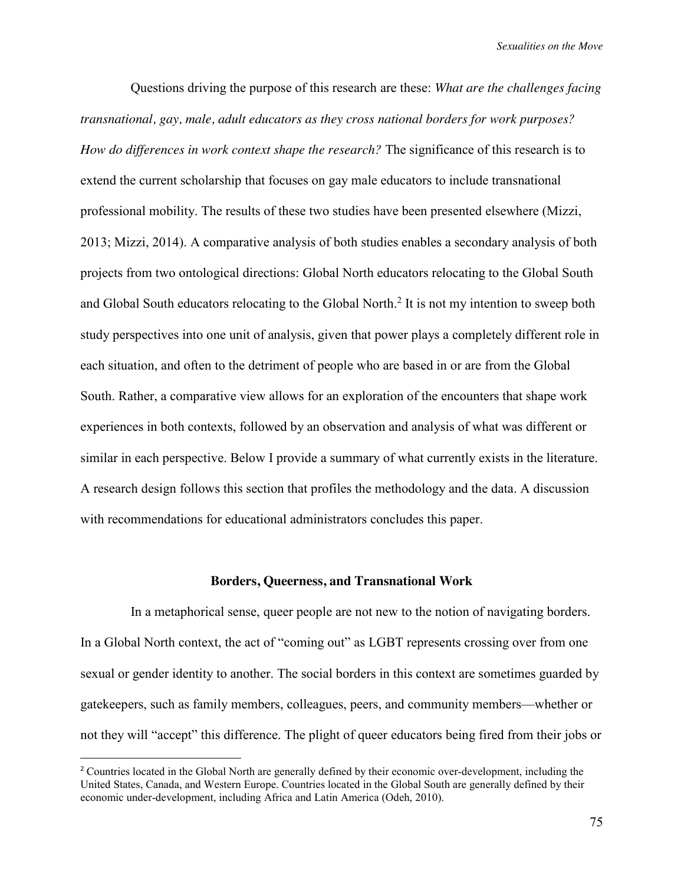Questions driving the purpose of this research are these: *What are the challenges facing transnational, gay, male, adult educators as they cross national borders for work purposes? How do differences in work context shape the research?* The significance of this research is to extend the current scholarship that focuses on gay male educators to include transnational professional mobility. The results of these two studies have been presented elsewhere (Mizzi, 2013; Mizzi, 2014). A comparative analysis of both studies enables a secondary analysis of both projects from two ontological directions: Global North educators relocating to the Global South and Global South educators relocating to the Global North. <sup>2</sup> It is not my intention to sweep both study perspectives into one unit of analysis, given that power plays a completely different role in each situation, and often to the detriment of people who are based in or are from the Global South. Rather, a comparative view allows for an exploration of the encounters that shape work experiences in both contexts, followed by an observation and analysis of what was different or similar in each perspective. Below I provide a summary of what currently exists in the literature. A research design follows this section that profiles the methodology and the data. A discussion with recommendations for educational administrators concludes this paper.

#### **Borders, Queerness, and Transnational Work**

In a metaphorical sense, queer people are not new to the notion of navigating borders. In a Global North context, the act of "coming out" as LGBT represents crossing over from one sexual or gender identity to another. The social borders in this context are sometimes guarded by gatekeepers, such as family members, colleagues, peers, and community members—whether or not they will "accept" this difference. The plight of queer educators being fired from their jobs or

<sup>&</sup>lt;sup>2</sup> Countries located in the Global North are generally defined by their economic over-development, including the United States, Canada, and Western Europe. Countries located in the Global South are generally defined by their economic under-development, including Africa and Latin America (Odeh, 2010).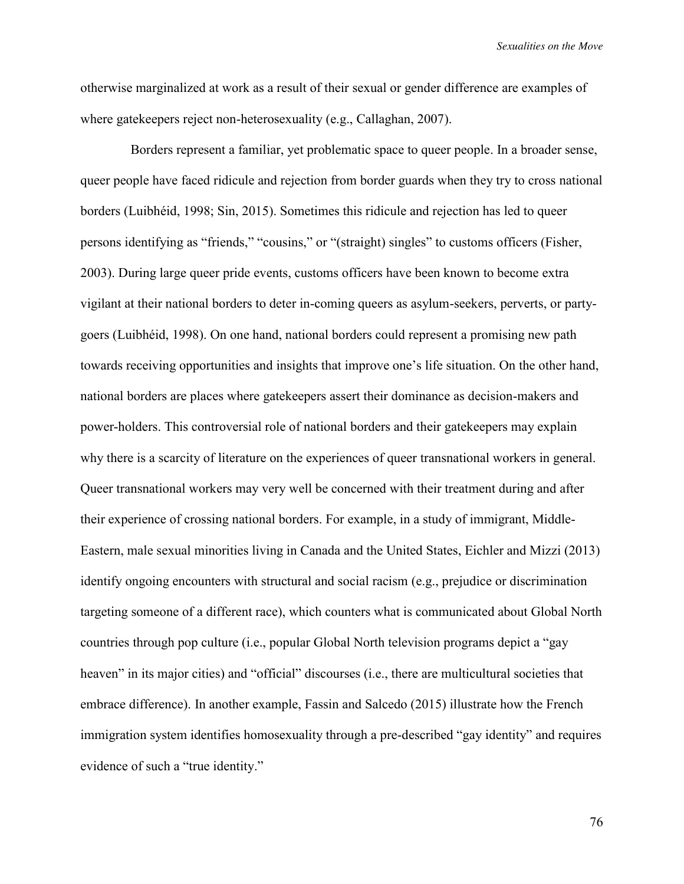otherwise marginalized at work as a result of their sexual or gender difference are examples of where gatekeepers reject non-heterosexuality (e.g., Callaghan, 2007).

Borders represent a familiar, yet problematic space to queer people. In a broader sense, queer people have faced ridicule and rejection from border guards when they try to cross national borders (Luibhéid, 1998; Sin, 2015). Sometimes this ridicule and rejection has led to queer persons identifying as "friends," "cousins," or "(straight) singles" to customs officers (Fisher, 2003). During large queer pride events, customs officers have been known to become extra vigilant at their national borders to deter in-coming queers as asylum-seekers, perverts, or partygoers (Luibhéid, 1998). On one hand, national borders could represent a promising new path towards receiving opportunities and insights that improve one's life situation. On the other hand, national borders are places where gatekeepers assert their dominance as decision-makers and power-holders. This controversial role of national borders and their gatekeepers may explain why there is a scarcity of literature on the experiences of queer transnational workers in general. Queer transnational workers may very well be concerned with their treatment during and after their experience of crossing national borders. For example, in a study of immigrant, Middle-Eastern, male sexual minorities living in Canada and the United States, Eichler and Mizzi (2013) identify ongoing encounters with structural and social racism (e.g., prejudice or discrimination targeting someone of a different race), which counters what is communicated about Global North countries through pop culture (i.e., popular Global North television programs depict a "gay heaven" in its major cities) and "official" discourses (i.e., there are multicultural societies that embrace difference). In another example, Fassin and Salcedo (2015) illustrate how the French immigration system identifies homosexuality through a pre-described "gay identity" and requires evidence of such a "true identity."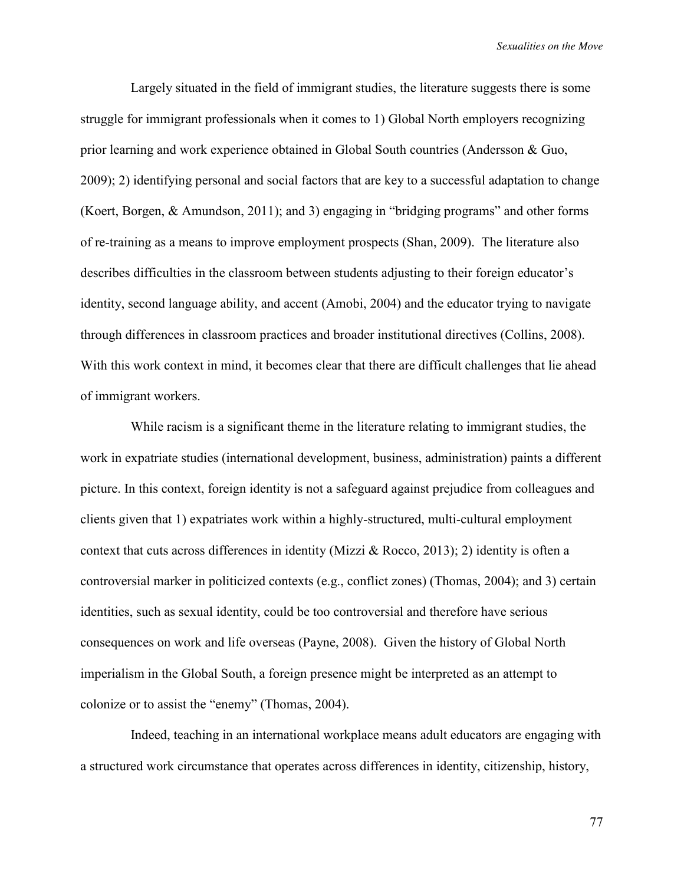Largely situated in the field of immigrant studies, the literature suggests there is some struggle for immigrant professionals when it comes to 1) Global North employers recognizing prior learning and work experience obtained in Global South countries (Andersson & Guo, 2009); 2) identifying personal and social factors that are key to a successful adaptation to change (Koert, Borgen, & Amundson, 2011); and 3) engaging in "bridging programs" and other forms of re-training as a means to improve employment prospects (Shan, 2009). The literature also describes difficulties in the classroom between students adjusting to their foreign educator's identity, second language ability, and accent (Amobi, 2004) and the educator trying to navigate through differences in classroom practices and broader institutional directives (Collins, 2008). With this work context in mind, it becomes clear that there are difficult challenges that lie ahead of immigrant workers.

While racism is a significant theme in the literature relating to immigrant studies, the work in expatriate studies (international development, business, administration) paints a different picture. In this context, foreign identity is not a safeguard against prejudice from colleagues and clients given that 1) expatriates work within a highly-structured, multi-cultural employment context that cuts across differences in identity (Mizzi & Rocco, 2013); 2) identity is often a controversial marker in politicized contexts (e.g., conflict zones) (Thomas, 2004); and 3) certain identities, such as sexual identity, could be too controversial and therefore have serious consequences on work and life overseas (Payne, 2008). Given the history of Global North imperialism in the Global South, a foreign presence might be interpreted as an attempt to colonize or to assist the "enemy" (Thomas, 2004).

Indeed, teaching in an international workplace means adult educators are engaging with a structured work circumstance that operates across differences in identity, citizenship, history,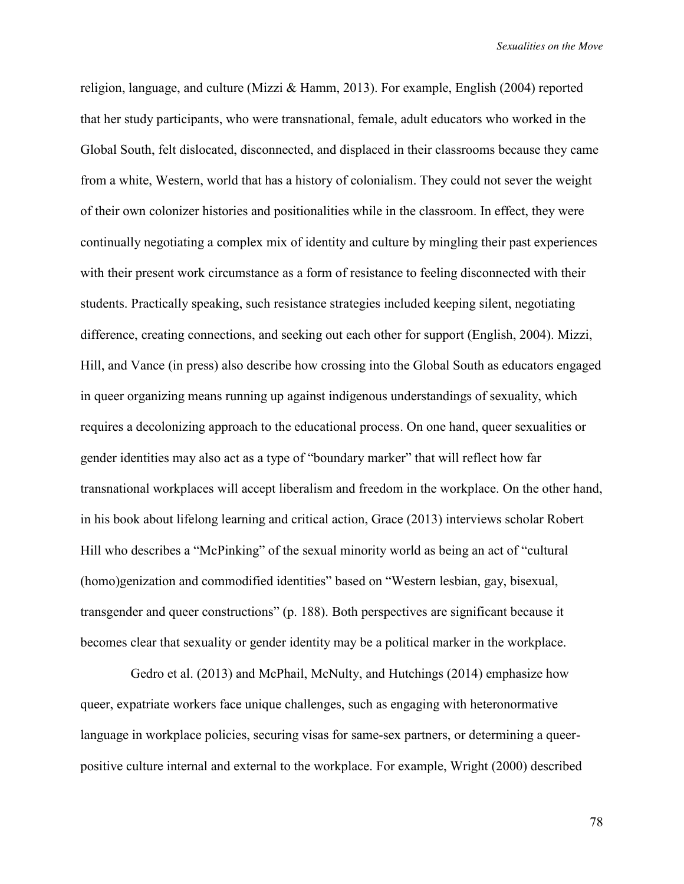religion, language, and culture (Mizzi & Hamm, 2013). For example, English (2004) reported that her study participants, who were transnational, female, adult educators who worked in the Global South, felt dislocated, disconnected, and displaced in their classrooms because they came from a white, Western, world that has a history of colonialism. They could not sever the weight of their own colonizer histories and positionalities while in the classroom. In effect, they were continually negotiating a complex mix of identity and culture by mingling their past experiences with their present work circumstance as a form of resistance to feeling disconnected with their students. Practically speaking, such resistance strategies included keeping silent, negotiating difference, creating connections, and seeking out each other for support (English, 2004). Mizzi, Hill, and Vance (in press) also describe how crossing into the Global South as educators engaged in queer organizing means running up against indigenous understandings of sexuality, which requires a decolonizing approach to the educational process. On one hand, queer sexualities or gender identities may also act as a type of "boundary marker" that will reflect how far transnational workplaces will accept liberalism and freedom in the workplace. On the other hand, in his book about lifelong learning and critical action, Grace (2013) interviews scholar Robert Hill who describes a "McPinking" of the sexual minority world as being an act of "cultural" (homo)genization and commodified identities" based on "Western lesbian, gay, bisexual, transgender and queer constructions" (p. 188). Both perspectives are significant because it becomes clear that sexuality or gender identity may be a political marker in the workplace.

Gedro et al. (2013) and McPhail, McNulty, and Hutchings (2014) emphasize how queer, expatriate workers face unique challenges, such as engaging with heteronormative language in workplace policies, securing visas for same-sex partners, or determining a queerpositive culture internal and external to the workplace. For example, Wright (2000) described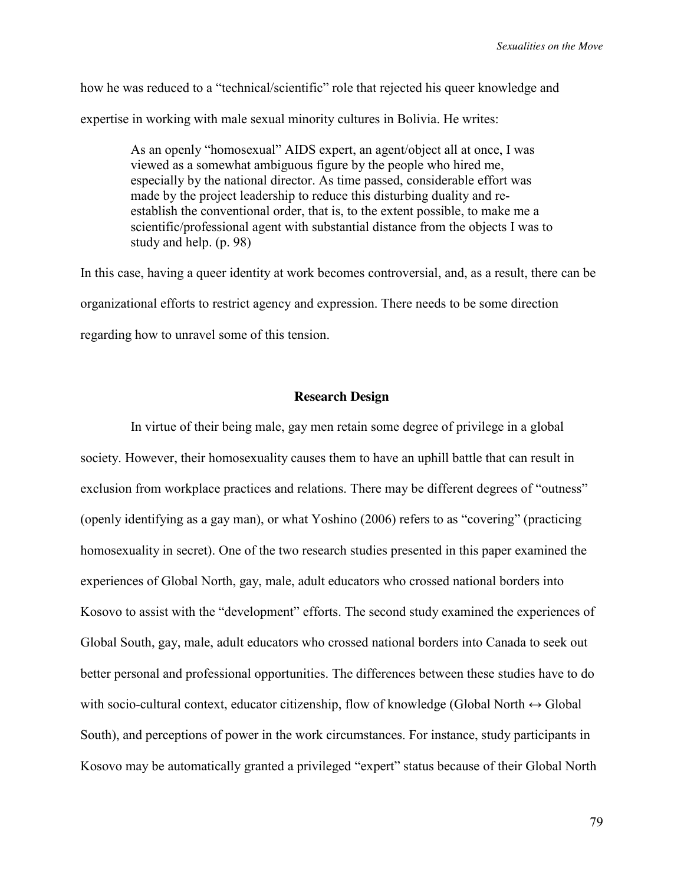how he was reduced to a "technical/scientific" role that rejected his queer knowledge and expertise in working with male sexual minority cultures in Bolivia. He writes:

> As an openly "homosexual" AIDS expert, an agent/object all at once, I was viewed as a somewhat ambiguous figure by the people who hired me, especially by the national director. As time passed, considerable effort was made by the project leadership to reduce this disturbing duality and reestablish the conventional order, that is, to the extent possible, to make me a scientific/professional agent with substantial distance from the objects I was to study and help. (p. 98)

In this case, having a queer identity at work becomes controversial, and, as a result, there can be organizational efforts to restrict agency and expression. There needs to be some direction regarding how to unravel some of this tension.

# **Research Design**

In virtue of their being male, gay men retain some degree of privilege in a global society. However, their homosexuality causes them to have an uphill battle that can result in exclusion from workplace practices and relations. There may be different degrees of "outness" (openly identifying as a gay man), or what Yoshino (2006) refers to as "covering" (practicing homosexuality in secret). One of the two research studies presented in this paper examined the experiences of Global North, gay, male, adult educators who crossed national borders into Kosovo to assist with the "development" efforts. The second study examined the experiences of Global South, gay, male, adult educators who crossed national borders into Canada to seek out better personal and professional opportunities. The differences between these studies have to do with socio-cultural context, educator citizenship, flow of knowledge (Global North  $\leftrightarrow$  Global South), and perceptions of power in the work circumstances. For instance, study participants in Kosovo may be automatically granted a privileged "expert" status because of their Global North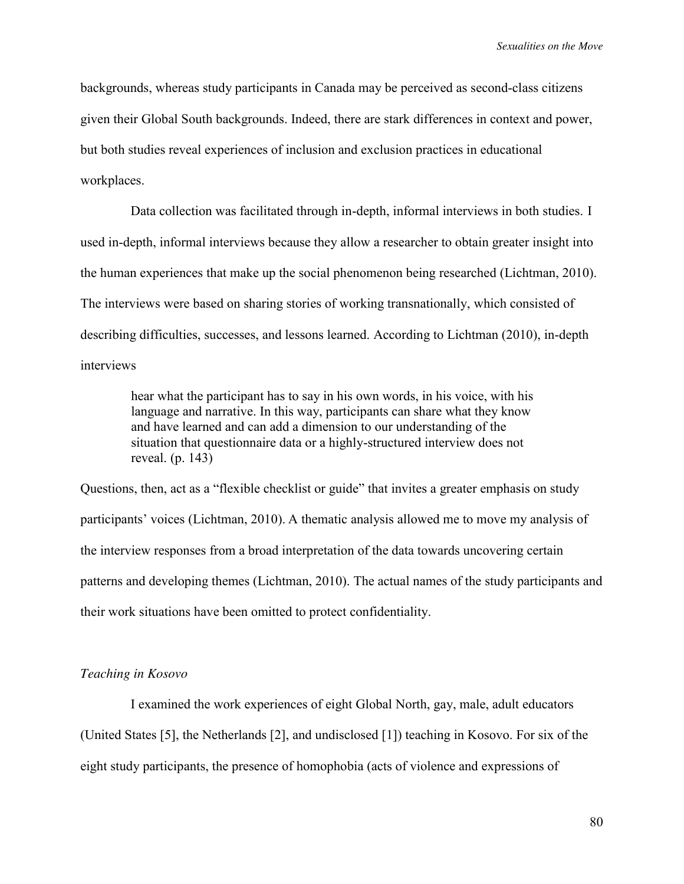backgrounds, whereas study participants in Canada may be perceived as second-class citizens given their Global South backgrounds. Indeed, there are stark differences in context and power, but both studies reveal experiences of inclusion and exclusion practices in educational workplaces.

Data collection was facilitated through in-depth, informal interviews in both studies. I used in-depth, informal interviews because they allow a researcher to obtain greater insight into the human experiences that make up the social phenomenon being researched (Lichtman, 2010). The interviews were based on sharing stories of working transnationally, which consisted of describing difficulties, successes, and lessons learned. According to Lichtman (2010), in-depth interviews

hear what the participant has to say in his own words, in his voice, with his language and narrative. In this way, participants can share what they know and have learned and can add a dimension to our understanding of the situation that questionnaire data or a highly-structured interview does not reveal. (p. 143)

Questions, then, act as a "flexible checklist or guide" that invites a greater emphasis on study participants' voices (Lichtman, 2010). A thematic analysis allowed me to move my analysis of the interview responses from a broad interpretation of the data towards uncovering certain patterns and developing themes (Lichtman, 2010). The actual names of the study participants and their work situations have been omitted to protect confidentiality.

### *Teaching in Kosovo*

I examined the work experiences of eight Global North, gay, male, adult educators (United States [5], the Netherlands [2], and undisclosed [1]) teaching in Kosovo. For six of the eight study participants, the presence of homophobia (acts of violence and expressions of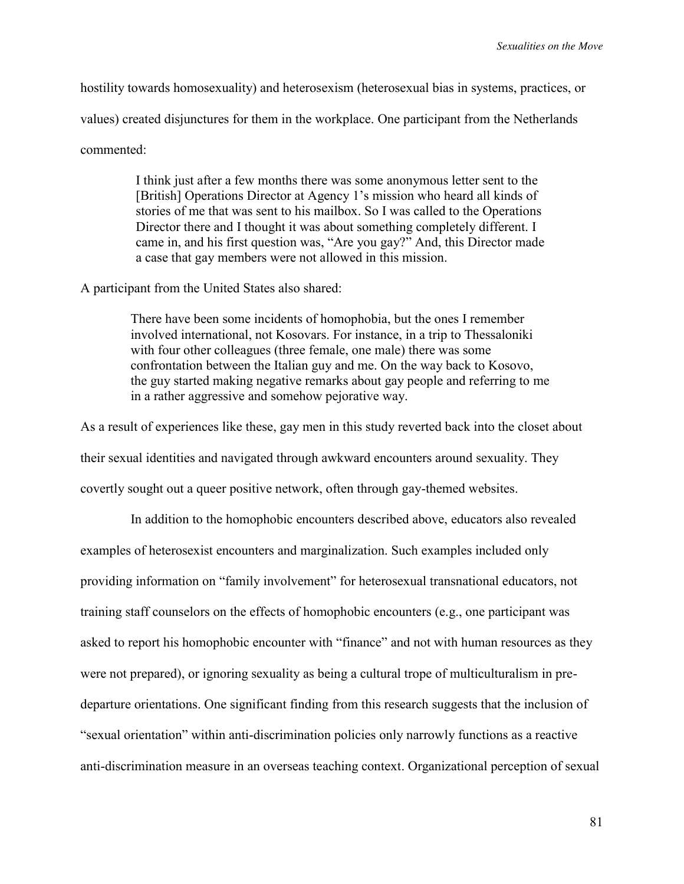hostility towards homosexuality) and heterosexism (heterosexual bias in systems, practices, or values) created disjunctures for them in the workplace. One participant from the Netherlands commented:

> I think just after a few months there was some anonymous letter sent to the [British] Operations Director at Agency 1's mission who heard all kinds of stories of me that was sent to his mailbox. So I was called to the Operations Director there and I thought it was about something completely different. I came in, and his first question was, "Are you gay?" And, this Director made a case that gay members were not allowed in this mission.

A participant from the United States also shared:

There have been some incidents of homophobia, but the ones I remember involved international, not Kosovars. For instance, in a trip to Thessaloniki with four other colleagues (three female, one male) there was some confrontation between the Italian guy and me. On the way back to Kosovo, the guy started making negative remarks about gay people and referring to me in a rather aggressive and somehow pejorative way.

As a result of experiences like these, gay men in this study reverted back into the closet about their sexual identities and navigated through awkward encounters around sexuality. They covertly sought out a queer positive network, often through gay-themed websites.

In addition to the homophobic encounters described above, educators also revealed examples of heterosexist encounters and marginalization. Such examples included only providing information on "family involvement" for heterosexual transnational educators, not training staff counselors on the effects of homophobic encounters (e.g., one participant was asked to report his homophobic encounter with "finance" and not with human resources as they were not prepared), or ignoring sexuality as being a cultural trope of multiculturalism in predeparture orientations. One significant finding from this research suggests that the inclusion of "sexual orientation" within anti-discrimination policies only narrowly functions as a reactive anti-discrimination measure in an overseas teaching context. Organizational perception of sexual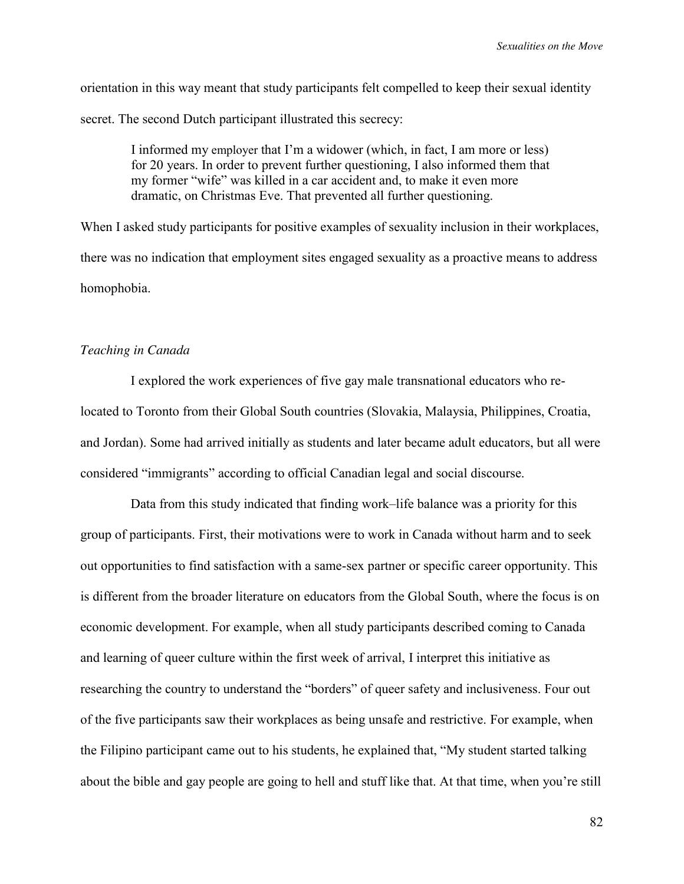orientation in this way meant that study participants felt compelled to keep their sexual identity secret. The second Dutch participant illustrated this secrecy:

I informed my employer that I'm a widower (which, in fact, I am more or less) for 20 years. In order to prevent further questioning, I also informed them that my former "wife" was killed in a car accident and, to make it even more dramatic, on Christmas Eve. That prevented all further questioning.

When I asked study participants for positive examples of sexuality inclusion in their workplaces, there was no indication that employment sites engaged sexuality as a proactive means to address homophobia.

## *Teaching in Canada*

I explored the work experiences of five gay male transnational educators who relocated to Toronto from their Global South countries (Slovakia, Malaysia, Philippines, Croatia, and Jordan). Some had arrived initially as students and later became adult educators, but all were considered "immigrants" according to official Canadian legal and social discourse.

Data from this study indicated that finding work–life balance was a priority for this group of participants. First, their motivations were to work in Canada without harm and to seek out opportunities to find satisfaction with a same-sex partner or specific career opportunity. This is different from the broader literature on educators from the Global South, where the focus is on economic development. For example, when all study participants described coming to Canada and learning of queer culture within the first week of arrival, I interpret this initiative as researching the country to understand the "borders" of queer safety and inclusiveness. Four out of the five participants saw their workplaces as being unsafe and restrictive. For example, when the Filipino participant came out to his students, he explained that, "My student started talking about the bible and gay people are going to hell and stuff like that. At that time, when you're still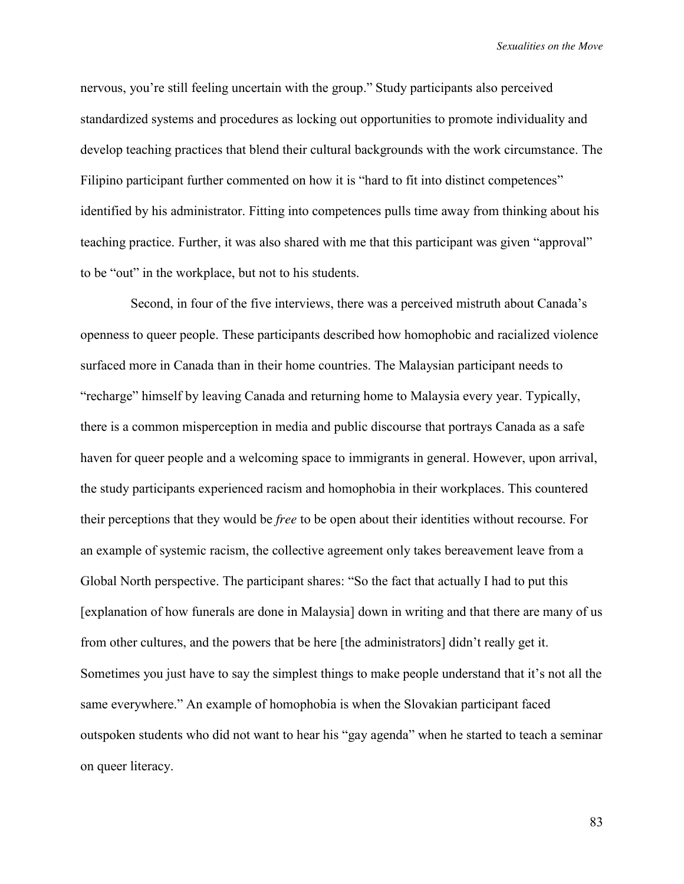nervous, you're still feeling uncertain with the group." Study participants also perceived standardized systems and procedures as locking out opportunities to promote individuality and develop teaching practices that blend their cultural backgrounds with the work circumstance. The Filipino participant further commented on how it is "hard to fit into distinct competences" identified by his administrator. Fitting into competences pulls time away from thinking about his teaching practice. Further, it was also shared with me that this participant was given "approval" to be "out" in the workplace, but not to his students.

Second, in four of the five interviews, there was a perceived mistruth about Canada's openness to queer people. These participants described how homophobic and racialized violence surfaced more in Canada than in their home countries. The Malaysian participant needs to "recharge" himself by leaving Canada and returning home to Malaysia every year. Typically, there is a common misperception in media and public discourse that portrays Canada as a safe haven for queer people and a welcoming space to immigrants in general. However, upon arrival, the study participants experienced racism and homophobia in their workplaces. This countered their perceptions that they would be *free* to be open about their identities without recourse. For an example of systemic racism, the collective agreement only takes bereavement leave from a Global North perspective. The participant shares: "So the fact that actually I had to put this [explanation of how funerals are done in Malaysia] down in writing and that there are many of us from other cultures, and the powers that be here [the administrators] didn't really get it. Sometimes you just have to say the simplest things to make people understand that it's not all the same everywhere." An example of homophobia is when the Slovakian participant faced outspoken students who did not want to hear his "gay agenda" when he started to teach a seminar on queer literacy.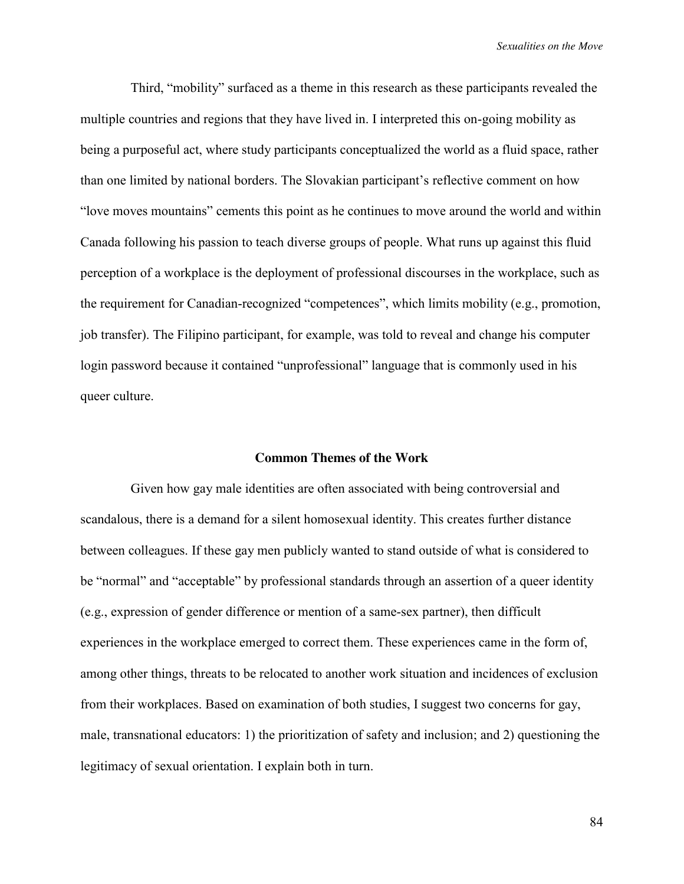Third, "mobility" surfaced as a theme in this research as these participants revealed the multiple countries and regions that they have lived in. I interpreted this on-going mobility as being a purposeful act, where study participants conceptualized the world as a fluid space, rather than one limited by national borders. The Slovakian participant's reflective comment on how "love moves mountains" cements this point as he continues to move around the world and within Canada following his passion to teach diverse groups of people. What runs up against this fluid perception of a workplace is the deployment of professional discourses in the workplace, such as the requirement for Canadian-recognized "competences", which limits mobility (e.g., promotion, job transfer). The Filipino participant, for example, was told to reveal and change his computer login password because it contained "unprofessional" language that is commonly used in his queer culture.

### **Common Themes of the Work**

Given how gay male identities are often associated with being controversial and scandalous, there is a demand for a silent homosexual identity. This creates further distance between colleagues. If these gay men publicly wanted to stand outside of what is considered to be "normal" and "acceptable" by professional standards through an assertion of a queer identity (e.g., expression of gender difference or mention of a same-sex partner), then difficult experiences in the workplace emerged to correct them. These experiences came in the form of, among other things, threats to be relocated to another work situation and incidences of exclusion from their workplaces. Based on examination of both studies, I suggest two concerns for gay, male, transnational educators: 1) the prioritization of safety and inclusion; and 2) questioning the legitimacy of sexual orientation. I explain both in turn.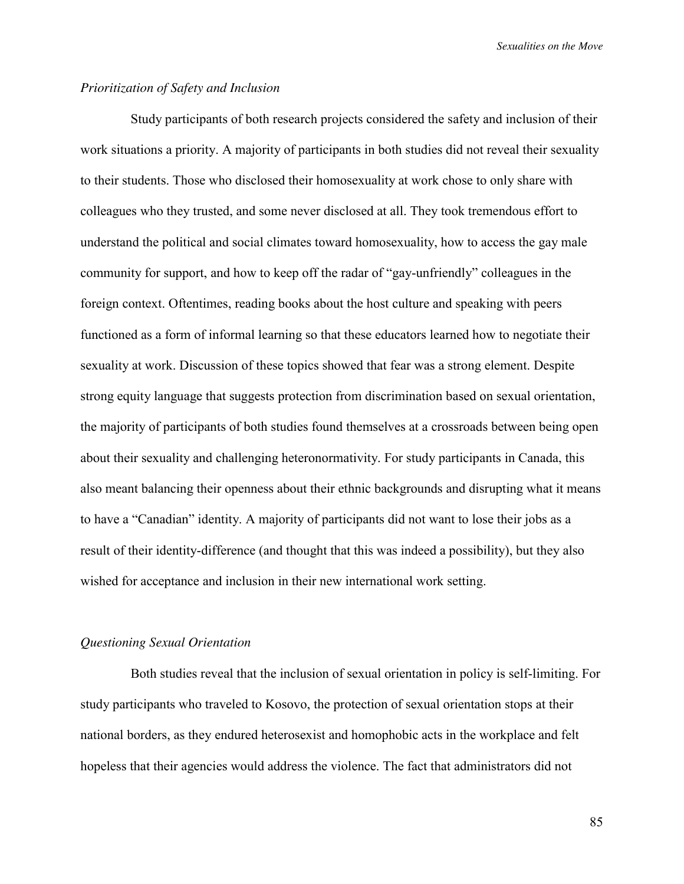# *Prioritization of Safety and Inclusion*

Study participants of both research projects considered the safety and inclusion of their work situations a priority. A majority of participants in both studies did not reveal their sexuality to their students. Those who disclosed their homosexuality at work chose to only share with colleagues who they trusted, and some never disclosed at all. They took tremendous effort to understand the political and social climates toward homosexuality, how to access the gay male community for support, and how to keep off the radar of "gay-unfriendly" colleagues in the foreign context. Oftentimes, reading books about the host culture and speaking with peers functioned as a form of informal learning so that these educators learned how to negotiate their sexuality at work. Discussion of these topics showed that fear was a strong element. Despite strong equity language that suggests protection from discrimination based on sexual orientation, the majority of participants of both studies found themselves at a crossroads between being open about their sexuality and challenging heteronormativity. For study participants in Canada, this also meant balancing their openness about their ethnic backgrounds and disrupting what it means to have a "Canadian" identity. A majority of participants did not want to lose their jobs as a result of their identity-difference (and thought that this was indeed a possibility), but they also wished for acceptance and inclusion in their new international work setting.

## *Questioning Sexual Orientation*

Both studies reveal that the inclusion of sexual orientation in policy is self-limiting. For study participants who traveled to Kosovo, the protection of sexual orientation stops at their national borders, as they endured heterosexist and homophobic acts in the workplace and felt hopeless that their agencies would address the violence. The fact that administrators did not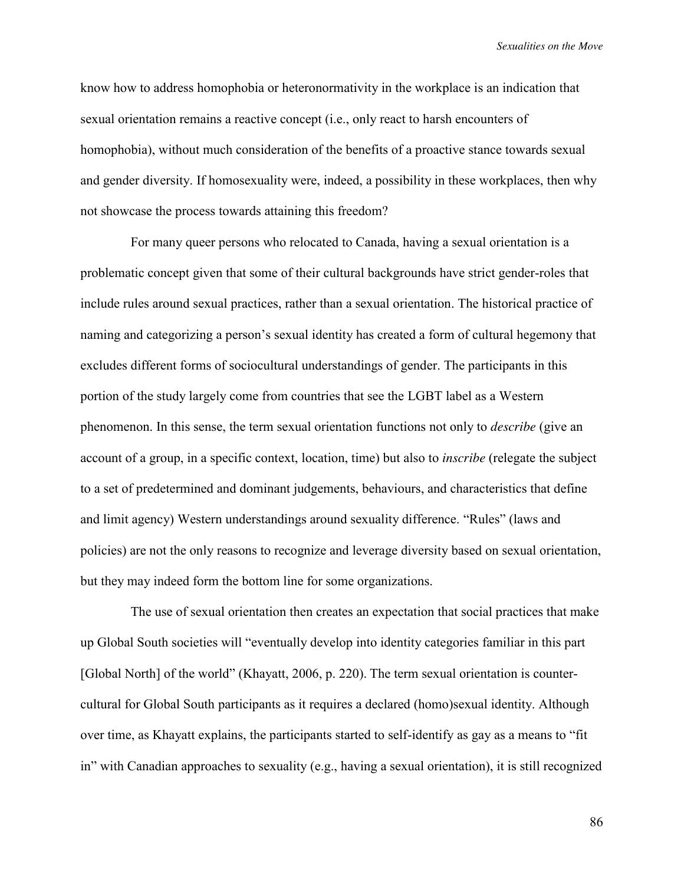know how to address homophobia or heteronormativity in the workplace is an indication that sexual orientation remains a reactive concept (i.e., only react to harsh encounters of homophobia), without much consideration of the benefits of a proactive stance towards sexual and gender diversity. If homosexuality were, indeed, a possibility in these workplaces, then why not showcase the process towards attaining this freedom?

For many queer persons who relocated to Canada, having a sexual orientation is a problematic concept given that some of their cultural backgrounds have strict gender-roles that include rules around sexual practices, rather than a sexual orientation. The historical practice of naming and categorizing a person's sexual identity has created a form of cultural hegemony that excludes different forms of sociocultural understandings of gender. The participants in this portion of the study largely come from countries that see the LGBT label as a Western phenomenon. In this sense, the term sexual orientation functions not only to *describe* (give an account of a group, in a specific context, location, time) but also to *inscribe* (relegate the subject to a set of predetermined and dominant judgements, behaviours, and characteristics that define and limit agency) Western understandings around sexuality difference. "Rules" (laws and policies) are not the only reasons to recognize and leverage diversity based on sexual orientation, but they may indeed form the bottom line for some organizations.

The use of sexual orientation then creates an expectation that social practices that make up Global South societies will "eventually develop into identity categories familiar in this part [Global North] of the world" (Khayatt, 2006, p. 220). The term sexual orientation is countercultural for Global South participants as it requires a declared (homo)sexual identity. Although over time, as Khayatt explains, the participants started to self-identify as gay as a means to "fit in" with Canadian approaches to sexuality (e.g., having a sexual orientation), it is still recognized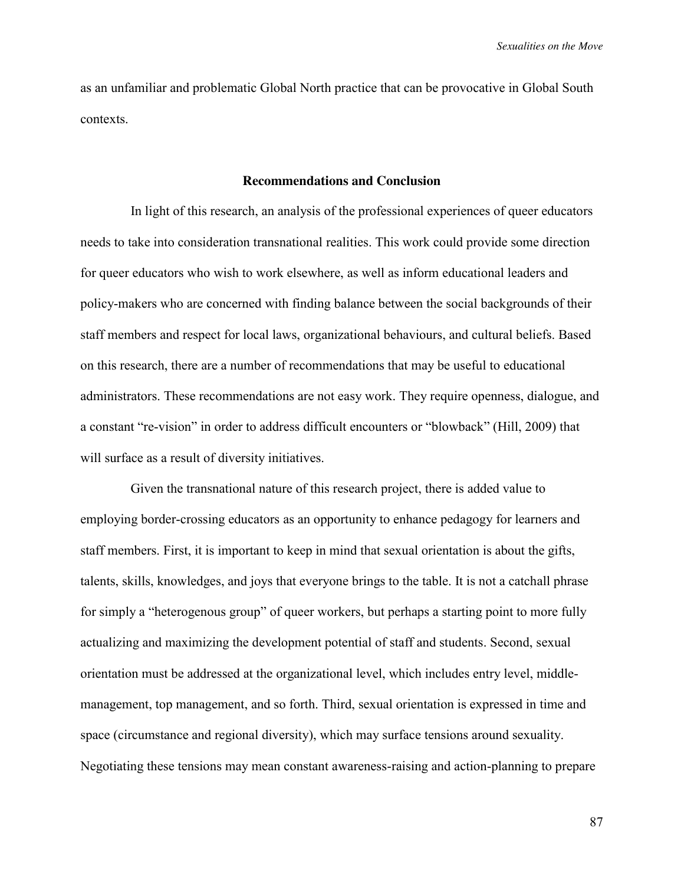as an unfamiliar and problematic Global North practice that can be provocative in Global South contexts.

### **Recommendations and Conclusion**

In light of this research, an analysis of the professional experiences of queer educators needs to take into consideration transnational realities. This work could provide some direction for queer educators who wish to work elsewhere, as well as inform educational leaders and policy-makers who are concerned with finding balance between the social backgrounds of their staff members and respect for local laws, organizational behaviours, and cultural beliefs. Based on this research, there are a number of recommendations that may be useful to educational administrators. These recommendations are not easy work. They require openness, dialogue, and a constant "re-vision" in order to address difficult encounters or "blowback" (Hill, 2009) that will surface as a result of diversity initiatives.

Given the transnational nature of this research project, there is added value to employing border-crossing educators as an opportunity to enhance pedagogy for learners and staff members. First, it is important to keep in mind that sexual orientation is about the gifts, talents, skills, knowledges, and joys that everyone brings to the table. It is not a catchall phrase for simply a "heterogenous group" of queer workers, but perhaps a starting point to more fully actualizing and maximizing the development potential of staff and students. Second, sexual orientation must be addressed at the organizational level, which includes entry level, middlemanagement, top management, and so forth. Third, sexual orientation is expressed in time and space (circumstance and regional diversity), which may surface tensions around sexuality. Negotiating these tensions may mean constant awareness-raising and action-planning to prepare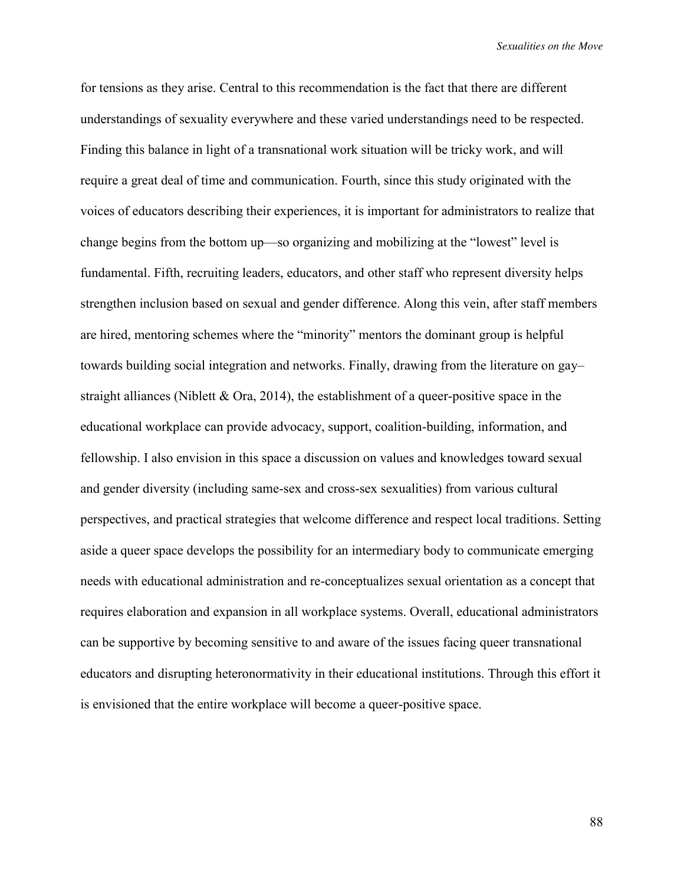for tensions as they arise. Central to this recommendation is the fact that there are different understandings of sexuality everywhere and these varied understandings need to be respected. Finding this balance in light of a transnational work situation will be tricky work, and will require a great deal of time and communication. Fourth, since this study originated with the voices of educators describing their experiences, it is important for administrators to realize that change begins from the bottom up—so organizing and mobilizing at the "lowest" level is fundamental. Fifth, recruiting leaders, educators, and other staff who represent diversity helps strengthen inclusion based on sexual and gender difference. Along this vein, after staff members are hired, mentoring schemes where the "minority" mentors the dominant group is helpful towards building social integration and networks. Finally, drawing from the literature on gay– straight alliances (Niblett  $&$  Ora, 2014), the establishment of a queer-positive space in the educational workplace can provide advocacy, support, coalition-building, information, and fellowship. I also envision in this space a discussion on values and knowledges toward sexual and gender diversity (including same-sex and cross-sex sexualities) from various cultural perspectives, and practical strategies that welcome difference and respect local traditions. Setting aside a queer space develops the possibility for an intermediary body to communicate emerging needs with educational administration and re-conceptualizes sexual orientation as a concept that requires elaboration and expansion in all workplace systems. Overall, educational administrators can be supportive by becoming sensitive to and aware of the issues facing queer transnational educators and disrupting heteronormativity in their educational institutions. Through this effort it is envisioned that the entire workplace will become a queer-positive space.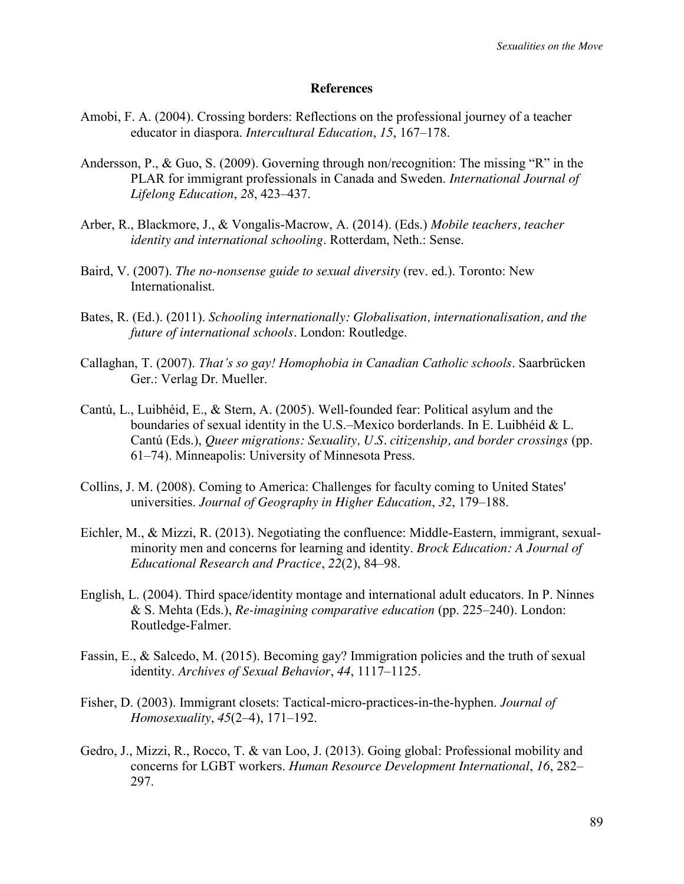#### **References**

- Amobi, F. A. (2004). Crossing borders: Reflections on the professional journey of a teacher educator in diaspora. *Intercultural Education*, *15*, 167–178.
- Andersson, P., & Guo, S. (2009). Governing through non/recognition: The missing "R" in the PLAR for immigrant professionals in Canada and Sweden. *International Journal of Lifelong Education*, *28*, 423–437.
- Arber, R., Blackmore, J., & Vongalis-Macrow, A. (2014). (Eds.) *Mobile teachers, teacher identity and international schooling*. Rotterdam, Neth.: Sense.
- Baird, V. (2007). *The no-nonsense guide to sexual diversity* (rev. ed.). Toronto: New Internationalist.
- Bates, R. (Ed.). (2011). *Schooling internationally: Globalisation, internationalisation, and the future of international schools.* London: Routledge.
- Callaghan, T. (2007). *That's so gay! Homophobia in Canadian Catholic schools*. Saarbrücken Ger.: Verlag Dr. Mueller.
- Cantú, L., Luibhéid, E., & Stern, A. (2005). Well-founded fear: Political asylum and the boundaries of sexual identity in the U.S.–Mexico borderlands. In E. Luibhéid & L. Cantú (Eds.), *Queer migrations: Sexuality, U.S. citizenship, and border crossings* (pp. 61–74). Minneapolis: University of Minnesota Press.
- Collins, J. M. (2008). Coming to America: Challenges for faculty coming to United States' universities. *Journal of Geography in Higher Education*, *32*, 179–188.
- Eichler, M., & Mizzi, R. (2013). Negotiating the confluence: Middle-Eastern, immigrant, sexualminority men and concerns for learning and identity. *Brock Education: A Journal of Educational Research and Practice*, *22*(2), 84–98.
- English, L. (2004). Third space/identity montage and international adult educators. In P. Ninnes & S. Mehta (Eds.), *Re-imagining comparative education* (pp. 225–240). London: Routledge-Falmer.
- Fassin, E., & Salcedo, M. (2015). Becoming gay? Immigration policies and the truth of sexual identity. *Archives of Sexual Behavior*, *44*, 1117–1125.
- Fisher, D. (2003). Immigrant closets: Tactical-micro-practices-in-the-hyphen. *Journal of Homosexuality*, *45*(2–4), 171–192.
- Gedro, J., Mizzi, R., Rocco, T. & van Loo, J. (2013). Going global: Professional mobility and concerns for LGBT workers. *Human Resource Development International*, *16*, 282– 297.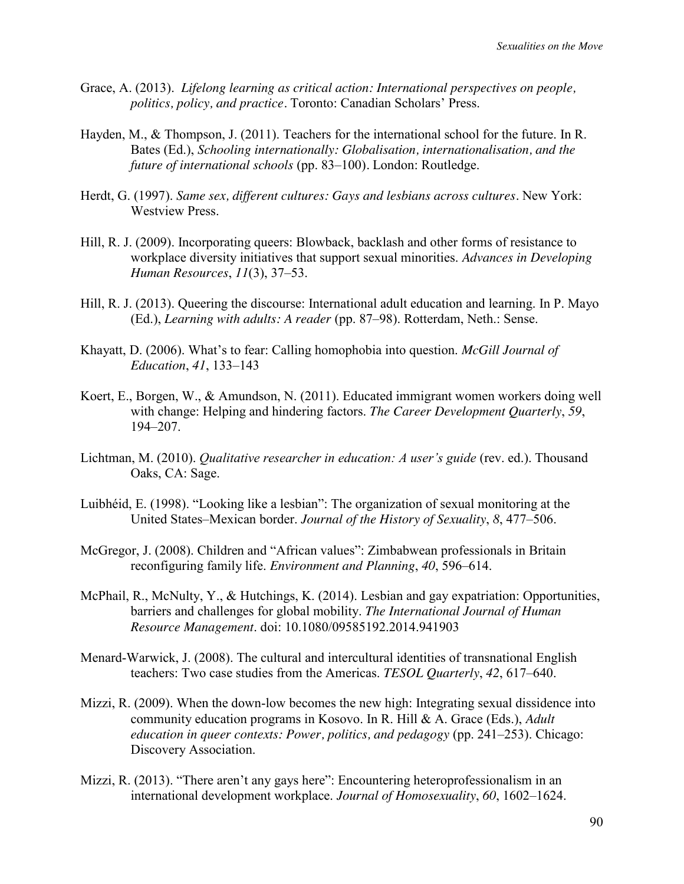- Grace, A. (2013). *Lifelong learning as critical action: International perspectives on people, politics, policy, and practice.* Toronto: Canadian Scholars' Press.
- Hayden, M., & Thompson, J. (2011). Teachers for the international school for the future. In R. Bates (Ed.), *Schooling internationally: Globalisation, internationalisation, and the future of international schools* (pp. 83–100)*.* London: Routledge.
- Herdt, G. (1997). *Same sex, different cultures: Gays and lesbians across cultures.* New York: Westview Press.
- Hill, R. J. (2009). Incorporating queers: Blowback, backlash and other forms of resistance to workplace diversity initiatives that support sexual minorities. *Advances in Developing Human Resources*, *11*(3), 37–53.
- Hill, R. J. (2013). Queering the discourse: International adult education and learning. In P. Mayo (Ed.), *Learning with adults: A reader* (pp. 87–98). Rotterdam, Neth.: Sense.
- Khayatt, D. (2006). What's to fear: Calling homophobia into question. *McGill Journal of Education*, *41*, 133–143
- Koert, E., Borgen, W., & Amundson, N. (2011). Educated immigrant women workers doing well with change: Helping and hindering factors. *The Career Development Quarterly*, *59*, 194–207.
- Lichtman, M. (2010). *Qualitative researcher in education: A user's guide* (rev. ed.). Thousand Oaks, CA: Sage.
- Luibhéid, E. (1998). "Looking like a lesbian": The organization of sexual monitoring at the United States–Mexican border. *Journal of the History of Sexuality*, *8*, 477–506.
- McGregor, J. (2008). Children and "African values": Zimbabwean professionals in Britain reconfiguring family life. *Environment and Planning*, *40*, 596–614.
- McPhail, R., McNulty, Y., & Hutchings, K. (2014). Lesbian and gay expatriation: Opportunities, barriers and challenges for global mobility. *The International Journal of Human Resource Management*. doi: 10.1080/09585192.2014.941903
- Menard-Warwick, J. (2008). The cultural and intercultural identities of transnational English teachers: Two case studies from the Americas. *TESOL Quarterly*, *42*, 617–640.
- Mizzi, R. (2009). When the down-low becomes the new high: Integrating sexual dissidence into community education programs in Kosovo. In R. Hill & A. Grace (Eds.), *Adult education in queer contexts: Power, politics, and pedagogy* (pp. 241–253). Chicago: Discovery Association.
- Mizzi, R. (2013). "There aren't any gays here": Encountering heteroprofessionalism in an international development workplace. *Journal of Homosexuality*, *60*, 1602–1624.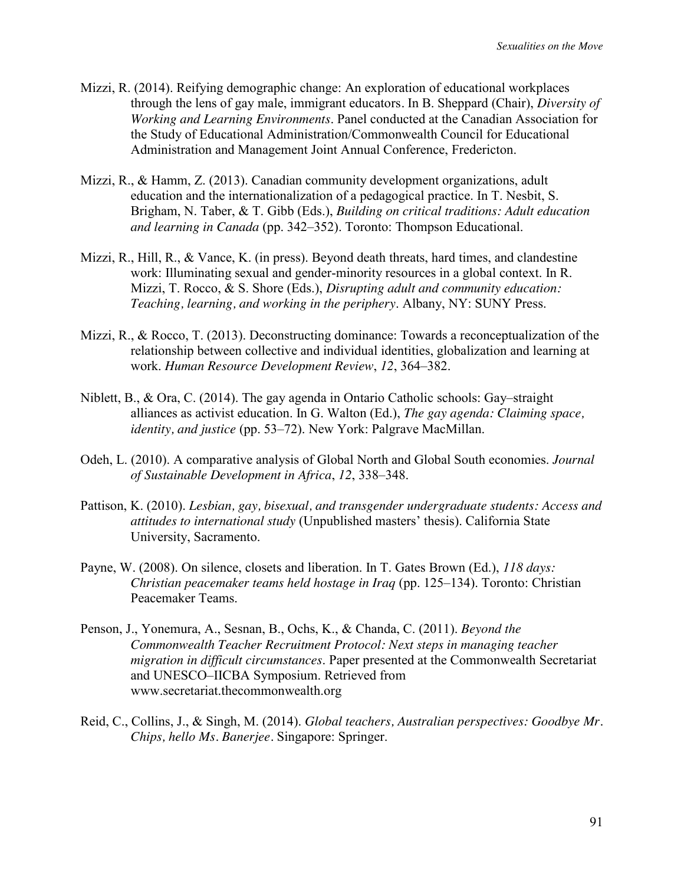- Mizzi, R. (2014). Reifying demographic change: An exploration of educational workplaces through the lens of gay male, immigrant educators*.* In B. Sheppard (Chair), *Diversity of Working and Learning Environments*. Panel conducted at the Canadian Association for the Study of Educational Administration/Commonwealth Council for Educational Administration and Management Joint Annual Conference, Fredericton.
- Mizzi, R., & Hamm, Z. (2013). Canadian community development organizations, adult education and the internationalization of a pedagogical practice. In T. Nesbit, S. Brigham, N. Taber, & T. Gibb (Eds.), *Building on critical traditions: Adult education and learning in Canada* (pp. 342–352). Toronto: Thompson Educational.
- Mizzi, R., Hill, R., & Vance, K. (in press). Beyond death threats, hard times, and clandestine work: Illuminating sexual and gender-minority resources in a global context. In R. Mizzi, T. Rocco, & S. Shore (Eds.), *Disrupting adult and community education: Teaching, learning, and working in the periphery*. Albany, NY: SUNY Press.
- Mizzi, R., & Rocco, T. (2013). Deconstructing dominance: Towards a reconceptualization of the relationship between collective and individual identities, globalization and learning at work. *Human Resource Development Review*, *12*, 364–382.
- Niblett, B., & Ora, C. (2014). The gay agenda in Ontario Catholic schools: Gay–straight alliances as activist education. In G. Walton (Ed.), *The gay agenda: Claiming space, identity, and justice* (pp. 53–72). New York: Palgrave MacMillan.
- Odeh, L. (2010). A comparative analysis of Global North and Global South economies. *Journal of Sustainable Development in Africa*, *12*, 338–348.
- Pattison, K. (2010). *Lesbian, gay, bisexual, and transgender undergraduate students: Access and attitudes to international study* (Unpublished masters' thesis). California State University, Sacramento.
- Payne, W. (2008). On silence, closets and liberation. In T. Gates Brown (Ed.), *118 days: Christian peacemaker teams held hostage in Iraq* (pp. 125–134). Toronto: Christian Peacemaker Teams.
- Penson, J., Yonemura, A., Sesnan, B., Ochs, K., & Chanda, C. (2011). *Beyond the Commonwealth Teacher Recruitment Protocol: Next steps in managing teacher migration in difficult circumstances*. Paper presented at the Commonwealth Secretariat and UNESCO–IICBA Symposium. Retrieved from www.secretariat.thecommonwealth.org
- Reid, C., Collins, J., & Singh, M. (2014). *Global teachers, Australian perspectives: Goodbye Mr. Chips, hello Ms. Banerjee.* Singapore: Springer.